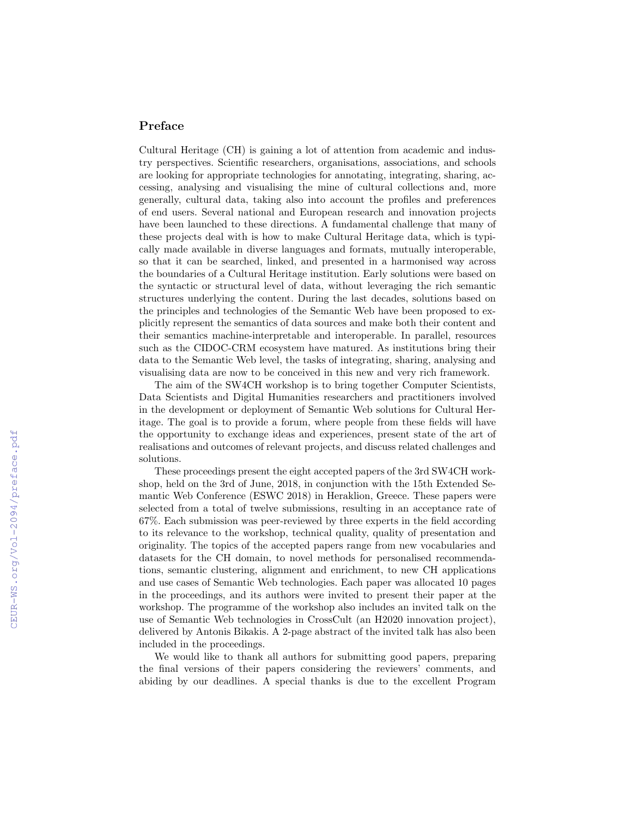## Preface

Cultural Heritage (CH) is gaining a lot of attention from academic and industry perspectives. Scientific researchers, organisations, associations, and schools are looking for appropriate technologies for annotating, integrating, sharing, accessing, analysing and visualising the mine of cultural collections and, more generally, cultural data, taking also into account the profiles and preferences of end users. Several national and European research and innovation projects have been launched to these directions. A fundamental challenge that many of these projects deal with is how to make Cultural Heritage data, which is typically made available in diverse languages and formats, mutually interoperable, so that it can be searched, linked, and presented in a harmonised way across the boundaries of a Cultural Heritage institution. Early solutions were based on the syntactic or structural level of data, without leveraging the rich semantic structures underlying the content. During the last decades, solutions based on the principles and technologies of the Semantic Web have been proposed to explicitly represent the semantics of data sources and make both their content and their semantics machine-interpretable and interoperable. In parallel, resources such as the CIDOC-CRM ecosystem have matured. As institutions bring their data to the Semantic Web level, the tasks of integrating, sharing, analysing and visualising data are now to be conceived in this new and very rich framework.

The aim of the SW4CH workshop is to bring together Computer Scientists, Data Scientists and Digital Humanities researchers and practitioners involved in the development or deployment of Semantic Web solutions for Cultural Heritage. The goal is to provide a forum, where people from these fields will have the opportunity to exchange ideas and experiences, present state of the art of realisations and outcomes of relevant projects, and discuss related challenges and solutions.

These proceedings present the eight accepted papers of the 3rd SW4CH workshop, held on the 3rd of June, 2018, in conjunction with the 15th Extended Semantic Web Conference (ESWC 2018) in Heraklion, Greece. These papers were selected from a total of twelve submissions, resulting in an acceptance rate of 67%. Each submission was peer-reviewed by three experts in the field according to its relevance to the workshop, technical quality, quality of presentation and originality. The topics of the accepted papers range from new vocabularies and datasets for the CH domain, to novel methods for personalised recommendations, semantic clustering, alignment and enrichment, to new CH applications and use cases of Semantic Web technologies. Each paper was allocated 10 pages in the proceedings, and its authors were invited to present their paper at the workshop. The programme of the workshop also includes an invited talk on the use of Semantic Web technologies in CrossCult (an H2020 innovation project), delivered by Antonis Bikakis. A 2-page abstract of the invited talk has also been included in the proceedings.

We would like to thank all authors for submitting good papers, preparing the final versions of their papers considering the reviewers' comments, and abiding by our deadlines. A special thanks is due to the excellent Program